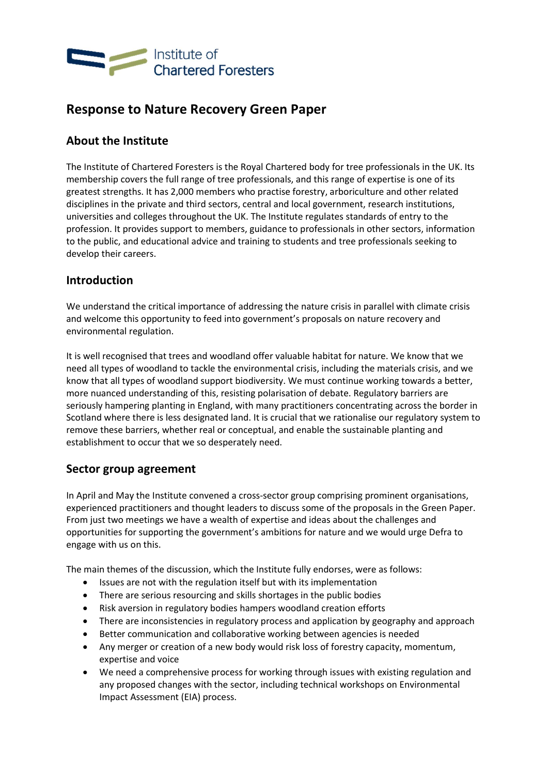

# Response to Nature Recovery Green Paper

## About the Institute

The Institute of Chartered Foresters is the Royal Chartered body for tree professionals in the UK. Its membership covers the full range of tree professionals, and this range of expertise is one of its greatest strengths. It has 2,000 members who practise forestry, arboriculture and other related disciplines in the private and third sectors, central and local government, research institutions, universities and colleges throughout the UK. The Institute regulates standards of entry to the profession. It provides support to members, guidance to professionals in other sectors, information to the public, and educational advice and training to students and tree professionals seeking to develop their careers.

## Introduction

We understand the critical importance of addressing the nature crisis in parallel with climate crisis and welcome this opportunity to feed into government's proposals on nature recovery and environmental regulation.

It is well recognised that trees and woodland offer valuable habitat for nature. We know that we need all types of woodland to tackle the environmental crisis, including the materials crisis, and we know that all types of woodland support biodiversity. We must continue working towards a better, more nuanced understanding of this, resisting polarisation of debate. Regulatory barriers are seriously hampering planting in England, with many practitioners concentrating across the border in Scotland where there is less designated land. It is crucial that we rationalise our regulatory system to remove these barriers, whether real or conceptual, and enable the sustainable planting and establishment to occur that we so desperately need.

## Sector group agreement

In April and May the Institute convened a cross-sector group comprising prominent organisations, experienced practitioners and thought leaders to discuss some of the proposals in the Green Paper. From just two meetings we have a wealth of expertise and ideas about the challenges and opportunities for supporting the government's ambitions for nature and we would urge Defra to engage with us on this.

The main themes of the discussion, which the Institute fully endorses, were as follows:

- Issues are not with the regulation itself but with its implementation
- There are serious resourcing and skills shortages in the public bodies
- Risk aversion in regulatory bodies hampers woodland creation efforts
- There are inconsistencies in regulatory process and application by geography and approach
- Better communication and collaborative working between agencies is needed
- Any merger or creation of a new body would risk loss of forestry capacity, momentum, expertise and voice
- We need a comprehensive process for working through issues with existing regulation and any proposed changes with the sector, including technical workshops on Environmental Impact Assessment (EIA) process.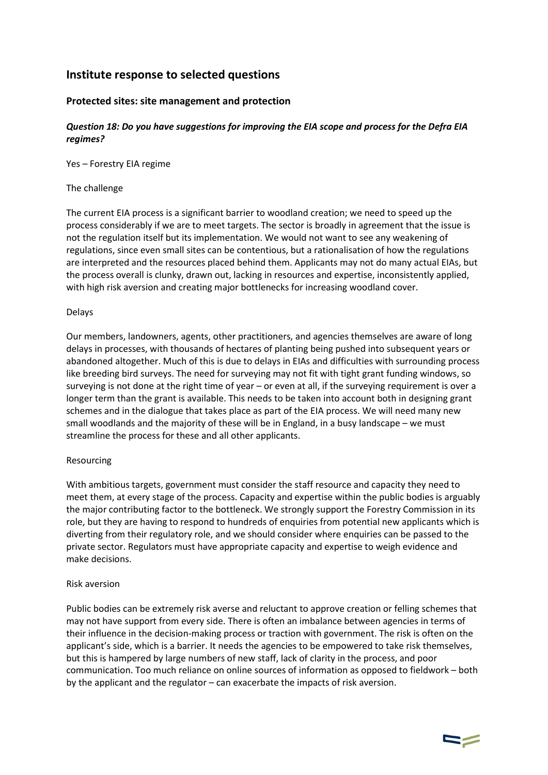## Institute response to selected questions

### Protected sites: site management and protection

#### Question 18: Do you have suggestions for improving the EIA scope and process for the Defra EIA regimes?

Yes – Forestry EIA regime

#### The challenge

The current EIA process is a significant barrier to woodland creation; we need to speed up the process considerably if we are to meet targets. The sector is broadly in agreement that the issue is not the regulation itself but its implementation. We would not want to see any weakening of regulations, since even small sites can be contentious, but a rationalisation of how the regulations are interpreted and the resources placed behind them. Applicants may not do many actual EIAs, but the process overall is clunky, drawn out, lacking in resources and expertise, inconsistently applied, with high risk aversion and creating major bottlenecks for increasing woodland cover.

#### Delays

Our members, landowners, agents, other practitioners, and agencies themselves are aware of long delays in processes, with thousands of hectares of planting being pushed into subsequent years or abandoned altogether. Much of this is due to delays in EIAs and difficulties with surrounding process like breeding bird surveys. The need for surveying may not fit with tight grant funding windows, so surveying is not done at the right time of year – or even at all, if the surveying requirement is over a longer term than the grant is available. This needs to be taken into account both in designing grant schemes and in the dialogue that takes place as part of the EIA process. We will need many new small woodlands and the majority of these will be in England, in a busy landscape – we must streamline the process for these and all other applicants.

#### Resourcing

With ambitious targets, government must consider the staff resource and capacity they need to meet them, at every stage of the process. Capacity and expertise within the public bodies is arguably the major contributing factor to the bottleneck. We strongly support the Forestry Commission in its role, but they are having to respond to hundreds of enquiries from potential new applicants which is diverting from their regulatory role, and we should consider where enquiries can be passed to the private sector. Regulators must have appropriate capacity and expertise to weigh evidence and make decisions.

#### Risk aversion

Public bodies can be extremely risk averse and reluctant to approve creation or felling schemes that may not have support from every side. There is often an imbalance between agencies in terms of their influence in the decision-making process or traction with government. The risk is often on the applicant's side, which is a barrier. It needs the agencies to be empowered to take risk themselves, but this is hampered by large numbers of new staff, lack of clarity in the process, and poor communication. Too much reliance on online sources of information as opposed to fieldwork – both by the applicant and the regulator – can exacerbate the impacts of risk aversion.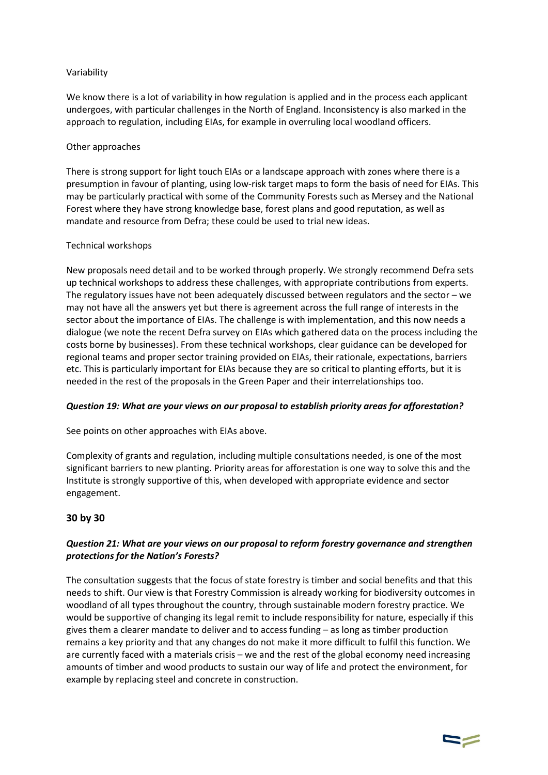#### Variability

We know there is a lot of variability in how regulation is applied and in the process each applicant undergoes, with particular challenges in the North of England. Inconsistency is also marked in the approach to regulation, including EIAs, for example in overruling local woodland officers.

#### Other approaches

There is strong support for light touch EIAs or a landscape approach with zones where there is a presumption in favour of planting, using low-risk target maps to form the basis of need for EIAs. This may be particularly practical with some of the Community Forests such as Mersey and the National Forest where they have strong knowledge base, forest plans and good reputation, as well as mandate and resource from Defra; these could be used to trial new ideas.

#### Technical workshops

New proposals need detail and to be worked through properly. We strongly recommend Defra sets up technical workshops to address these challenges, with appropriate contributions from experts. The regulatory issues have not been adequately discussed between regulators and the sector – we may not have all the answers yet but there is agreement across the full range of interests in the sector about the importance of EIAs. The challenge is with implementation, and this now needs a dialogue (we note the recent Defra survey on EIAs which gathered data on the process including the costs borne by businesses). From these technical workshops, clear guidance can be developed for regional teams and proper sector training provided on EIAs, their rationale, expectations, barriers etc. This is particularly important for EIAs because they are so critical to planting efforts, but it is needed in the rest of the proposals in the Green Paper and their interrelationships too.

### Question 19: What are your views on our proposal to establish priority areas for afforestation?

See points on other approaches with EIAs above.

Complexity of grants and regulation, including multiple consultations needed, is one of the most significant barriers to new planting. Priority areas for afforestation is one way to solve this and the Institute is strongly supportive of this, when developed with appropriate evidence and sector engagement.

### 30 by 30

### Question 21: What are your views on our proposal to reform forestry governance and strengthen protections for the Nation's Forests?

The consultation suggests that the focus of state forestry is timber and social benefits and that this needs to shift. Our view is that Forestry Commission is already working for biodiversity outcomes in woodland of all types throughout the country, through sustainable modern forestry practice. We would be supportive of changing its legal remit to include responsibility for nature, especially if this gives them a clearer mandate to deliver and to access funding – as long as timber production remains a key priority and that any changes do not make it more difficult to fulfil this function. We are currently faced with a materials crisis – we and the rest of the global economy need increasing amounts of timber and wood products to sustain our way of life and protect the environment, for example by replacing steel and concrete in construction.

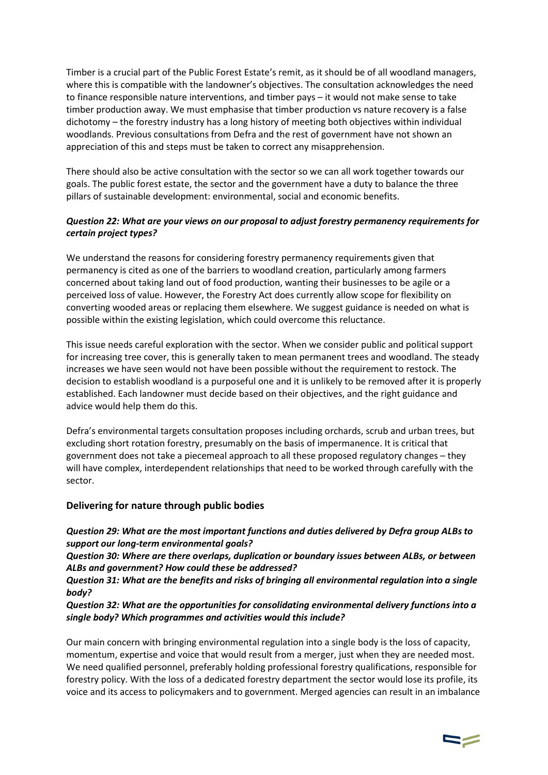Timber is a crucial part of the Public Forest Estate's remit, as it should be of all woodland managers, where this is compatible with the landowner's objectives. The consultation acknowledges the need to finance responsible nature interventions, and timber pays – it would not make sense to take timber production away. We must emphasise that timber production vs nature recovery is a false dichotomy – the forestry industry has a long history of meeting both objectives within individual woodlands. Previous consultations from Defra and the rest of government have not shown an appreciation of this and steps must be taken to correct any misapprehension.

There should also be active consultation with the sector so we can all work together towards our goals. The public forest estate, the sector and the government have a duty to balance the three pillars of sustainable development: environmental, social and economic benefits.

### Question 22: What are your views on our proposal to adjust forestry permanency requirements for certain project types?

We understand the reasons for considering forestry permanency requirements given that permanency is cited as one of the barriers to woodland creation, particularly among farmers concerned about taking land out of food production, wanting their businesses to be agile or a perceived loss of value. However, the Forestry Act does currently allow scope for flexibility on converting wooded areas or replacing them elsewhere. We suggest guidance is needed on what is possible within the existing legislation, which could overcome this reluctance.

This issue needs careful exploration with the sector. When we consider public and political support for increasing tree cover, this is generally taken to mean permanent trees and woodland. The steady increases we have seen would not have been possible without the requirement to restock. The decision to establish woodland is a purposeful one and it is unlikely to be removed after it is properly established. Each landowner must decide based on their objectives, and the right guidance and advice would help them do this.

Defra's environmental targets consultation proposes including orchards, scrub and urban trees, but excluding short rotation forestry, presumably on the basis of impermanence. It is critical that government does not take a piecemeal approach to all these proposed regulatory changes – they will have complex, interdependent relationships that need to be worked through carefully with the sector.

### Delivering for nature through public bodies

Question 29: What are the most important functions and duties delivered by Defra group ALBs to support our long-term environmental goals?

Question 30: Where are there overlaps, duplication or boundary issues between ALBs, or between ALBs and government? How could these be addressed?

Question 31: What are the benefits and risks of bringing all environmental regulation into a single body?

Question 32: What are the opportunities for consolidating environmental delivery functions into a single body? Which programmes and activities would this include?

Our main concern with bringing environmental regulation into a single body is the loss of capacity, momentum, expertise and voice that would result from a merger, just when they are needed most. We need qualified personnel, preferably holding professional forestry qualifications, responsible for forestry policy. With the loss of a dedicated forestry department the sector would lose its profile, its voice and its access to policymakers and to government. Merged agencies can result in an imbalance

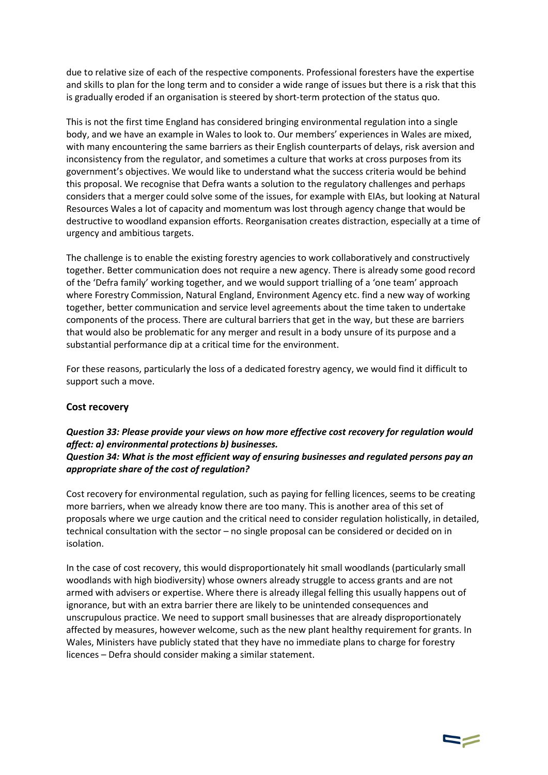due to relative size of each of the respective components. Professional foresters have the expertise and skills to plan for the long term and to consider a wide range of issues but there is a risk that this is gradually eroded if an organisation is steered by short-term protection of the status quo.

This is not the first time England has considered bringing environmental regulation into a single body, and we have an example in Wales to look to. Our members' experiences in Wales are mixed, with many encountering the same barriers as their English counterparts of delays, risk aversion and inconsistency from the regulator, and sometimes a culture that works at cross purposes from its government's objectives. We would like to understand what the success criteria would be behind this proposal. We recognise that Defra wants a solution to the regulatory challenges and perhaps considers that a merger could solve some of the issues, for example with EIAs, but looking at Natural Resources Wales a lot of capacity and momentum was lost through agency change that would be destructive to woodland expansion efforts. Reorganisation creates distraction, especially at a time of urgency and ambitious targets.

The challenge is to enable the existing forestry agencies to work collaboratively and constructively together. Better communication does not require a new agency. There is already some good record of the 'Defra family' working together, and we would support trialling of a 'one team' approach where Forestry Commission, Natural England, Environment Agency etc. find a new way of working together, better communication and service level agreements about the time taken to undertake components of the process. There are cultural barriers that get in the way, but these are barriers that would also be problematic for any merger and result in a body unsure of its purpose and a substantial performance dip at a critical time for the environment.

For these reasons, particularly the loss of a dedicated forestry agency, we would find it difficult to support such a move.

#### Cost recovery

## Question 33: Please provide your views on how more effective cost recovery for regulation would affect: a) environmental protections b) businesses.

#### Question 34: What is the most efficient way of ensuring businesses and regulated persons pay an appropriate share of the cost of regulation?

Cost recovery for environmental regulation, such as paying for felling licences, seems to be creating more barriers, when we already know there are too many. This is another area of this set of proposals where we urge caution and the critical need to consider regulation holistically, in detailed, technical consultation with the sector – no single proposal can be considered or decided on in isolation.

In the case of cost recovery, this would disproportionately hit small woodlands (particularly small woodlands with high biodiversity) whose owners already struggle to access grants and are not armed with advisers or expertise. Where there is already illegal felling this usually happens out of ignorance, but with an extra barrier there are likely to be unintended consequences and unscrupulous practice. We need to support small businesses that are already disproportionately affected by measures, however welcome, such as the new plant healthy requirement for grants. In Wales, Ministers have publicly stated that they have no immediate plans to charge for forestry licences – Defra should consider making a similar statement.